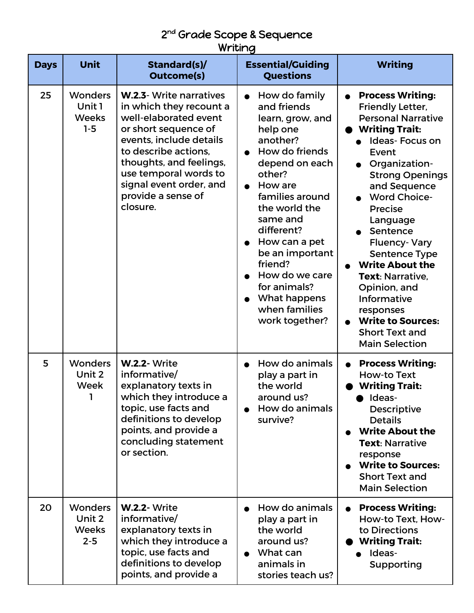## 2<sup>nd</sup> Grade Scope & Sequence Writing

| <b>Days</b> | <b>Unit</b>                                         | Standard(s)/<br><b>Outcome(s)</b>                                                                                                                                                                                                                                       | <b>Essential/Guiding</b><br><b>Questions</b>                                                                                                                                                                                                                                                                                                                                                         | <b>Writing</b>                                                                                                                                                                                                                                                                                                                                                                                                                                                                                |
|-------------|-----------------------------------------------------|-------------------------------------------------------------------------------------------------------------------------------------------------------------------------------------------------------------------------------------------------------------------------|------------------------------------------------------------------------------------------------------------------------------------------------------------------------------------------------------------------------------------------------------------------------------------------------------------------------------------------------------------------------------------------------------|-----------------------------------------------------------------------------------------------------------------------------------------------------------------------------------------------------------------------------------------------------------------------------------------------------------------------------------------------------------------------------------------------------------------------------------------------------------------------------------------------|
| 25          | <b>Wonders</b><br>Unit 1<br><b>Weeks</b><br>$1 - 5$ | W.2.3- Write narratives<br>in which they recount a<br>well-elaborated event<br>or short sequence of<br>events, include details<br>to describe actions.<br>thoughts, and feelings,<br>use temporal words to<br>signal event order, and<br>provide a sense of<br>closure. | How do family<br>$\bullet$<br>and friends<br>learn, grow, and<br>help one<br>another?<br>How do friends<br>$\bullet$<br>depend on each<br>other?<br>How are<br>$\bullet$<br>families around<br>the world the<br>same and<br>different?<br>How can a pet<br>$\bullet$<br>be an important<br>friend?<br>How do we care<br>for animals?<br>What happens<br>$\bullet$<br>when families<br>work together? | <b>Process Writing:</b><br><b>Friendly Letter,</b><br><b>Personal Narrative</b><br><b>Writing Trait:</b><br><b>Ideas-Focus on</b><br>Event<br>Organization-<br><b>Strong Openings</b><br>and Sequence<br><b>Word Choice-</b><br><b>Precise</b><br>Language<br>Sentence<br><b>Fluency-Vary</b><br><b>Sentence Type</b><br><b>Write About the</b><br>Text: Narrative,<br>Opinion, and<br>Informative<br>responses<br><b>Write to Sources:</b><br><b>Short Text and</b><br><b>Main Selection</b> |
| 5           | <b>Wonders</b><br>Unit 2<br>Week<br>1               | <b>W.2.2- Write</b><br>informative/<br>explanatory texts in<br>which they introduce a<br>topic, use facts and<br>definitions to develop<br>points, and provide a<br>concluding statement<br>or section.                                                                 | How do animals<br>play a part in<br>the world<br>around us?<br>How do animals<br>survive?                                                                                                                                                                                                                                                                                                            | <b>Process Writing:</b><br>How-to Text<br><b>Writing Trait:</b><br>Ideas-<br><b>Descriptive</b><br><b>Details</b><br><b>Write About the</b><br><b>Text: Narrative</b><br>response<br><b>Write to Sources:</b><br><b>Short Text and</b><br><b>Main Selection</b>                                                                                                                                                                                                                               |
| 20          | <b>Wonders</b><br>Unit 2<br><b>Weeks</b><br>$2 - 5$ | <b>W.2.2- Write</b><br>informative/<br>explanatory texts in<br>which they introduce a<br>topic, use facts and<br>definitions to develop<br>points, and provide a                                                                                                        | How do animals<br>play a part in<br>the world<br>around us?<br>What can<br>$\bullet$<br>animals in<br>stories teach us?                                                                                                                                                                                                                                                                              | <b>Process Writing:</b><br>How-to Text, How-<br>to Directions<br><b>Writing Trait:</b><br>Ideas-<br>Supporting                                                                                                                                                                                                                                                                                                                                                                                |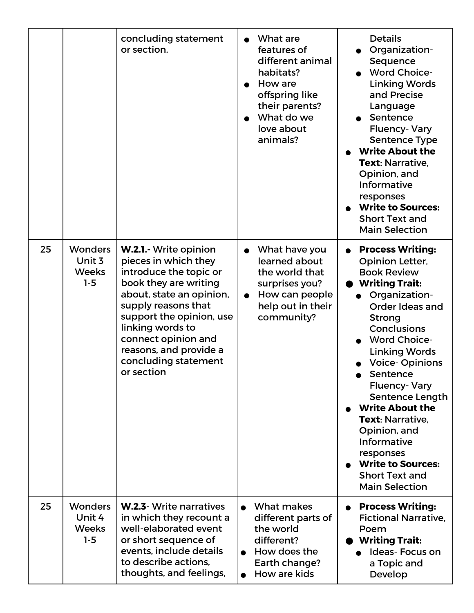|    |                                                   | concluding statement<br>or section.                                                                                                                                                                                                                                                        | What are<br>$\bullet$<br>features of<br>different animal<br>habitats?<br>How are<br>offspring like<br>their parents?<br>What do we<br>$\bullet$<br>love about<br>animals? | <b>Details</b><br>Organization-<br>Sequence<br><b>Word Choice-</b><br><b>Linking Words</b><br>and Precise<br>Language<br>Sentence<br><b>Fluency-Vary</b><br><b>Sentence Type</b><br><b>Write About the</b><br>Text: Narrative.<br>Opinion, and<br>Informative<br>responses<br><b>Write to Sources:</b><br><b>Short Text and</b><br><b>Main Selection</b>                                                                                                                            |
|----|---------------------------------------------------|--------------------------------------------------------------------------------------------------------------------------------------------------------------------------------------------------------------------------------------------------------------------------------------------|---------------------------------------------------------------------------------------------------------------------------------------------------------------------------|-------------------------------------------------------------------------------------------------------------------------------------------------------------------------------------------------------------------------------------------------------------------------------------------------------------------------------------------------------------------------------------------------------------------------------------------------------------------------------------|
| 25 | <b>Wonders</b><br>Unit 3<br><b>Weeks</b><br>$1-5$ | W.2.1.- Write opinion<br>pieces in which they<br>introduce the topic or<br>book they are writing<br>about, state an opinion,<br>supply reasons that<br>support the opinion, use<br>linking words to<br>connect opinion and<br>reasons, and provide a<br>concluding statement<br>or section | What have you<br>$\bullet$<br>learned about<br>the world that<br>surprises you?<br>How can people<br>$\bullet$<br>help out in their<br>community?                         | <b>Process Writing:</b><br><b>Opinion Letter,</b><br><b>Book Review</b><br><b>Writing Trait:</b><br>· Organization-<br>Order Ideas and<br><b>Strong</b><br><b>Conclusions</b><br><b>Word Choice-</b><br><b>Linking Words</b><br><b>Voice-Opinions</b><br>Sentence<br><b>Fluency-Vary</b><br>Sentence Length<br><b>Write About the</b><br>Text: Narrative.<br>Opinion, and<br>Informative<br>responses<br><b>Write to Sources:</b><br><b>Short Text and</b><br><b>Main Selection</b> |
| 25 | <b>Wonders</b><br>Unit 4<br><b>Weeks</b><br>$1-5$ | <b>W.2.3</b> - Write narratives<br>in which they recount a<br>well-elaborated event<br>or short sequence of<br>events, include details<br>to describe actions,<br>thoughts, and feelings,                                                                                                  | What makes<br>$\bullet$<br>different parts of<br>the world<br>different?<br>How does the<br>Earth change?<br>How are kids                                                 | <b>Process Writing:</b><br>$\bullet$<br><b>Fictional Narrative.</b><br>Poem<br><b>Writing Trait:</b><br><b>Ideas-Focus on</b><br>a Topic and<br>Develop                                                                                                                                                                                                                                                                                                                             |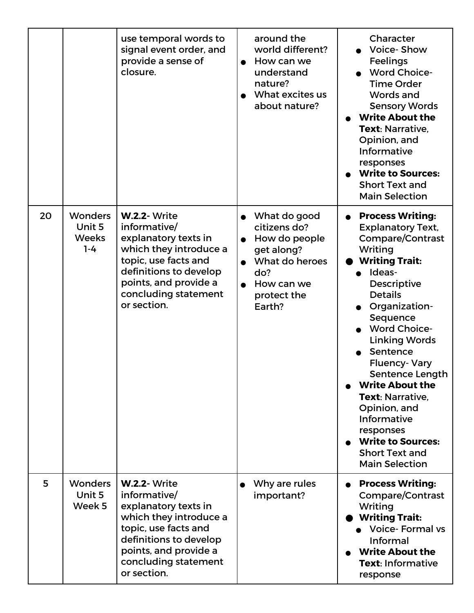|    |                                                     | use temporal words to<br>signal event order, and<br>provide a sense of<br>closure.                                                                                                                      | around the<br>world different?<br>How can we<br>$\bullet$<br>understand<br>nature?<br>What excites us<br>about nature?                                | Character<br><b>Voice-Show</b><br>Feelings<br><b>Word Choice-</b><br><b>Time Order</b><br>Words and<br><b>Sensory Words</b><br><b>Write About the</b><br>Text: Narrative,<br>Opinion, and<br>Informative<br>responses<br><b>Write to Sources:</b><br><b>Short Text and</b><br><b>Main Selection</b>                                                                                                                                                                                  |
|----|-----------------------------------------------------|---------------------------------------------------------------------------------------------------------------------------------------------------------------------------------------------------------|-------------------------------------------------------------------------------------------------------------------------------------------------------|--------------------------------------------------------------------------------------------------------------------------------------------------------------------------------------------------------------------------------------------------------------------------------------------------------------------------------------------------------------------------------------------------------------------------------------------------------------------------------------|
| 20 | <b>Wonders</b><br>Unit 5<br><b>Weeks</b><br>$1 - 4$ | <b>W.2.2- Write</b><br>informative/<br>explanatory texts in<br>which they introduce a<br>topic, use facts and<br>definitions to develop<br>points, and provide a<br>concluding statement<br>or section. | What do good<br>citizens do?<br>How do people<br>$\bullet$<br>get along?<br>What do heroes<br>do?<br>How can we<br>$\bullet$<br>protect the<br>Earth? | <b>Process Writing:</b><br>$\bullet$<br><b>Explanatory Text,</b><br>Compare/Contrast<br>Writing<br><b>Writing Trait:</b><br>Ideas-<br><b>Descriptive</b><br><b>Details</b><br>Organization-<br>Sequence<br><b>Word Choice-</b><br><b>Linking Words</b><br>Sentence<br><b>Fluency-Vary</b><br>Sentence Length<br><b>Write About the</b><br>Text: Narrative,<br>Opinion, and<br>Informative<br>responses<br><b>Write to Sources:</b><br><b>Short Text and</b><br><b>Main Selection</b> |
| 5  | <b>Wonders</b><br>Unit 5<br>Week 5                  | <b>W.2.2- Write</b><br>informative/<br>explanatory texts in<br>which they introduce a<br>topic, use facts and<br>definitions to develop<br>points, and provide a<br>concluding statement<br>or section. | Why are rules<br>important?                                                                                                                           | <b>Process Writing:</b><br>$\bullet$<br><b>Compare/Contrast</b><br>Writing<br><b>Writing Trait:</b><br><b>Voice-Formal vs</b><br>Informal<br><b>Write About the</b><br>Text: Informative<br>response                                                                                                                                                                                                                                                                                 |